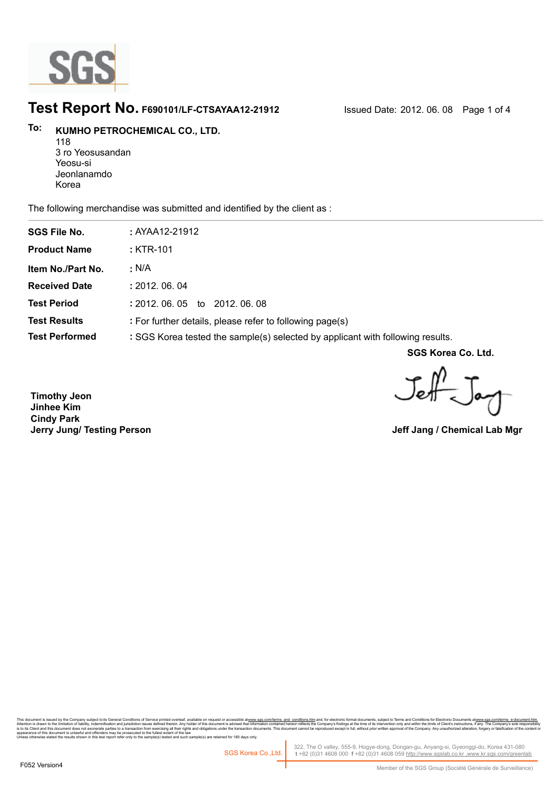

## **Test Report No. F690101/LF-CTSAYAA12-21912** Issued Date: 2012. 06. 08 Page 1 of 4

## **KUMHO PETROCHEMICAL CO., LTD. To:**

118 3 ro Yeosusandan Yeosu-si Jeonlanamdo Korea

The following merchandise was submitted and identified by the client as :

| <b>SGS File No.</b>   | : AYAA12-21912                                                                 |
|-----------------------|--------------------------------------------------------------------------------|
| <b>Product Name</b>   | : KTR-101                                                                      |
| Item No./Part No.     | $\cdot$ N/A                                                                    |
| <b>Received Date</b>  | : 2012.06.04                                                                   |
| <b>Test Period</b>    | $: 2012.06.05$ to<br>2012.06.08                                                |
| <b>Test Results</b>   | : For further details, please refer to following page(s)                       |
| <b>Test Performed</b> | : SGS Korea tested the sample(s) selected by applicant with following results. |

**SGS Korea Co. Ltd.**

Jeff-Jan

**Timothy Jeon Jinhee Kim Cindy Park Jerry Jung/ Testing Person**

**Jeff Jang / Chemical Lab Mgr**

This document is issue by the Company subject to its General Conditions of Service printed or areas available on request racessuble at <u>www.ss conviterms and</u> c<u>onditions, here is the</u> company is discured the incompany is nis oocument is issued by the Company supercitoits General Conductions of Service primate overlear, available on<br>Itention is drawn to the limitation of ilability, indemnification and purisdiction issues defined therein. An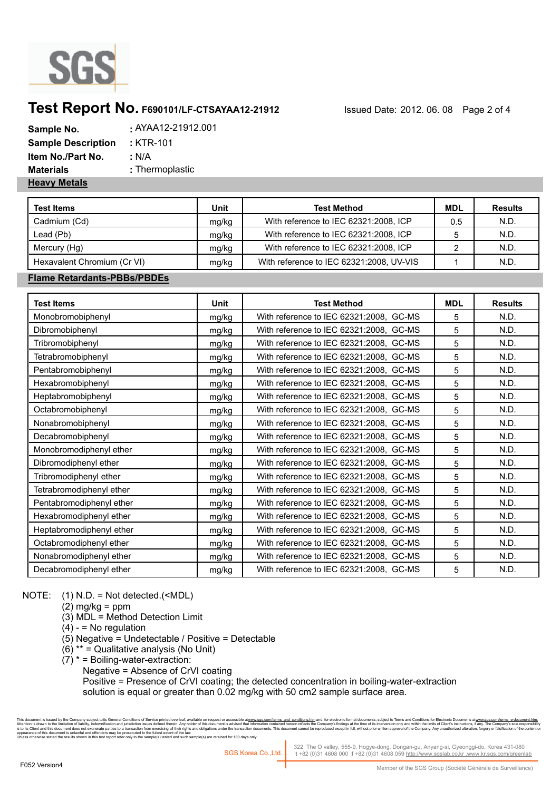

# **Test Report No. F690101/LF-CTSAYAA12-21912** Issued Date: 2012. 06. 08 Page 2 of 4

| Sample No.                | AYAA12-21912.001 . |
|---------------------------|--------------------|
| <b>Sample Description</b> | : KTR-101          |
| Item No./Part No.         | : N/A              |
| <b>Materials</b>          | : Thermoplastic    |
| <b>Heavy Metals</b>       |                    |

| <b>Test Items</b>           | Unit  | <b>Test Method</b>                       | MDL | <b>Results</b> |
|-----------------------------|-------|------------------------------------------|-----|----------------|
| Cadmium (Cd)                | mg/kg | With reference to IEC 62321:2008, ICP    | 0.5 | N.D.           |
| Lead (Pb)                   | mg/kg | With reference to IEC 62321:2008, ICP    |     | N.D.           |
| Mercury (Hg)                | mg/kg | With reference to IEC 62321:2008, ICP    |     | N.D.           |
| Hexavalent Chromium (Cr VI) | mg/kg | With reference to IEC 62321:2008, UV-VIS |     | N.D.           |

### **Flame Retardants-PBBs/PBDEs**

| <b>Test Items</b>        | Unit  | <b>Test Method</b>                      | <b>MDL</b> | <b>Results</b> |
|--------------------------|-------|-----------------------------------------|------------|----------------|
| Monobromobiphenyl        | mg/kg | With reference to IEC 62321:2008, GC-MS | 5          | N.D.           |
| Dibromobiphenyl          | mg/kg | With reference to IEC 62321:2008, GC-MS | 5          | N.D.           |
| Tribromobiphenyl         | mg/kg | With reference to IEC 62321:2008, GC-MS | 5          | N.D.           |
| Tetrabromobiphenyl       | mg/kg | With reference to IEC 62321:2008, GC-MS | 5          | N.D.           |
| Pentabromobiphenyl       | mg/kg | With reference to IEC 62321:2008, GC-MS | 5          | N.D.           |
| Hexabromobiphenyl        | mg/kg | With reference to IEC 62321:2008, GC-MS | 5          | N.D.           |
| Heptabromobiphenyl       | mg/kg | With reference to IEC 62321:2008, GC-MS | 5          | N.D.           |
| Octabromobiphenyl        | mg/kg | With reference to IEC 62321:2008, GC-MS | 5          | N.D.           |
| Nonabromobiphenyl        | mg/kg | With reference to IEC 62321:2008, GC-MS | 5          | N.D.           |
| Decabromobiphenyl        | mg/kg | With reference to IEC 62321:2008, GC-MS | 5          | N.D.           |
| Monobromodiphenyl ether  | mg/kg | With reference to IEC 62321:2008, GC-MS | 5          | N.D.           |
| Dibromodiphenyl ether    | mg/kg | With reference to IEC 62321:2008, GC-MS | 5          | N.D.           |
| Tribromodiphenyl ether   | mg/kg | With reference to IEC 62321:2008, GC-MS | 5          | N.D.           |
| Tetrabromodiphenyl ether | mg/kg | With reference to IEC 62321:2008, GC-MS | 5          | N.D.           |
| Pentabromodiphenyl ether | mg/kg | With reference to IEC 62321:2008, GC-MS | 5          | N.D.           |
| Hexabromodiphenyl ether  | mg/kg | With reference to IEC 62321:2008, GC-MS | 5          | N.D.           |
| Heptabromodiphenyl ether | mg/kg | With reference to IEC 62321:2008, GC-MS | 5          | N.D.           |
| Octabromodiphenyl ether  | mg/kg | With reference to IEC 62321:2008, GC-MS | 5          | N.D.           |
| Nonabromodiphenyl ether  | mg/kg | With reference to IEC 62321:2008, GC-MS | 5          | N.D.           |
| Decabromodiphenyl ether  | mg/kg | With reference to IEC 62321:2008, GC-MS | 5          | N.D.           |

### NOTE: (1) N.D. = Not detected.(<MDL)

 $(2)$  mg/kg = ppm

- (3) MDL = Method Detection Limit
- $(4) 5$  No regulation
- (5) Negative = Undetectable / Positive = Detectable
- (6) \*\* = Qualitative analysis (No Unit)
- $(7)$  \* = Boiling-water-extraction:
	- Negative = Absence of CrVI coating

 Positive = Presence of CrVI coating; the detected concentration in boiling-water-extraction solution is equal or greater than 0.02 mg/kg with 50 cm2 sample surface area.

This document is issue by the Company subject to its General Conditions of Service printed or areas available on request racessuble at <u>www.ss conviterms and</u> c<u>onditions, here is the</u> company is discured the incompany is his document is issued by the Company subject to lis General Conditions of Service pnrine overnear, avariation<br>Itlention is drawn to the limitation of liability, indemnification and jurisdiction issues defined then why hol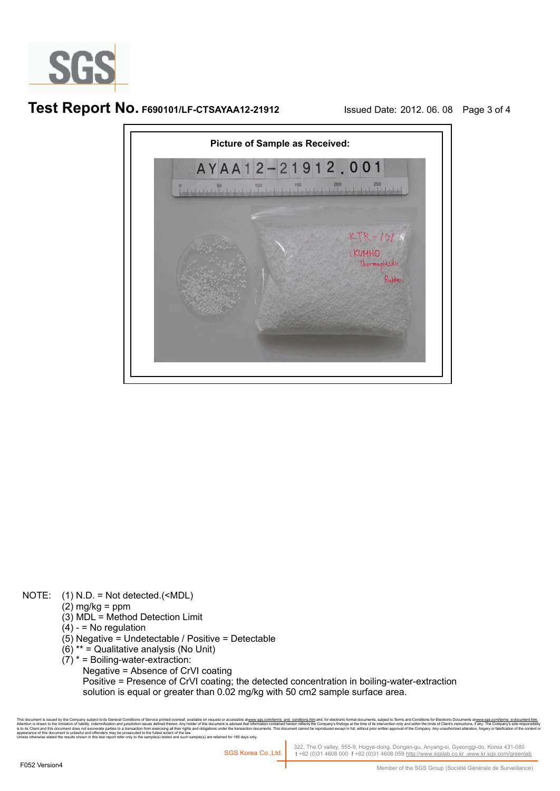

## **Test Report No. F690101/LF-CTSAYAA12-21912** Issued Date: 2012. 06. 08 Page 3 of 4



#### NOTE: (1) N.D. = Not detected.(<MDL)

- $(2)$  mg/kg = ppm
	- (3) MDL = Method Detection Limit
	- $(4) 5$  No regulation
	- (5) Negative = Undetectable / Positive = Detectable
	- (6) \*\* = Qualitative analysis (No Unit)
	- $(7)$  \* = Boiling-water-extraction:
		- Negative = Absence of CrVI coating

 Positive = Presence of CrVI coating; the detected concentration in boiling-water-extraction solution is equal or greater than 0.02 mg/kg with 50 cm2 sample surface area.

This document is issue by the Company subject to its General Conditions of Service printed or areas available on request racessuble at <u>www.ss conviterms and</u> c<u>onditions, here is the</u> company is discured the incompany is is to lis Client and this document does not exonerate parties to a transaction from exercising all their rights and obligations under the transaction documents. This document cannot be reproduced except in full, without pr

322, The O valley, 555-9, Hogye-dong, Dongan-gu, Anyang-si, Gyeonggi-do, Korea 431-080